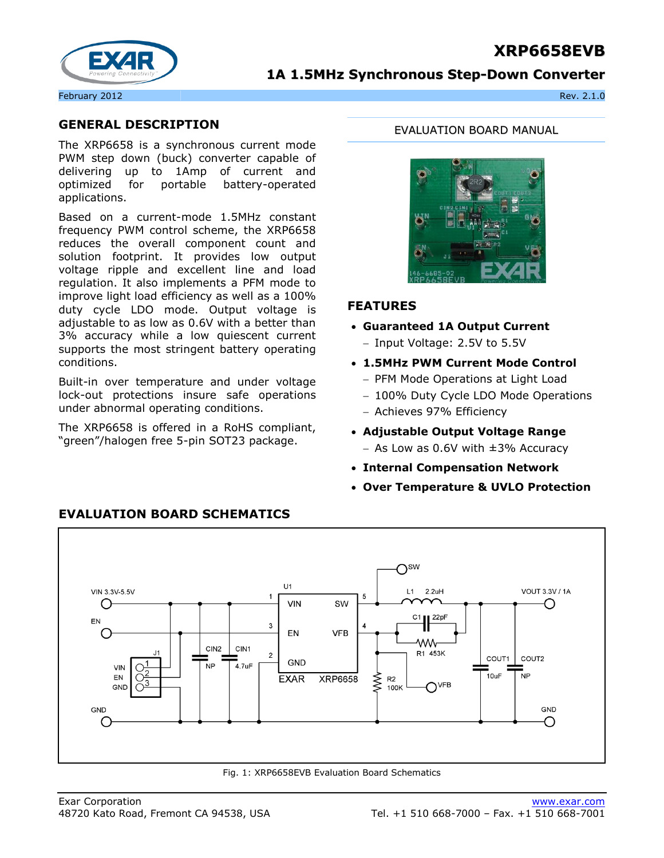# **XRP6658EVB**



# **1A 1.5MHz Synchronous Step-Down Converter**

#### February 2012 **Rev. 2.1.0** Rev. 2.1.0

## **GENERAL DESCRIPTION**

The XRP6658 is a synchronous current mode PWM step down (buck) converter capable of delivering up to 1Amp of current and optimized for portable battery-operated applications.

Based on a current-mode 1.5MHz constant frequency PWM control scheme, the XRP6658 reduces the overall component count and solution footprint. It provides low output voltage ripple and excellent line and load regulation. It also implements a PFM mode to improve light load efficiency as well as a 100% duty cycle LDO mode. Output voltage is adjustable to as low as 0.6V with a better than 3% accuracy while a low quiescent current supports the most stringent battery operating conditions.

Built-in over temperature and under voltage lock-out protections insure safe operations under abnormal operating conditions.

The XRP6658 is offered in a RoHS compliant, "green"/halogen free 5-pin SOT23 package.

#### EVALUATION BOARD MANUAL



# **FEATURES**

- **Guaranteed 1A Output Current**
	- Input Voltage: 2.5V to 5.5V
- **1.5MHz PWM Current Mode Control** 
	- PFM Mode Operations at Light Load
	- 100% Duty Cycle LDO Mode Operations
	- Achieves 97% Efficiency
- **Adjustable Output Voltage Range**  $-$  As Low as 0.6V with  $\pm 3\%$  Accuracy
- **Internal Compensation Network**
- **Over Temperature & UVLO Protection**



# **EVALUATION BOARD SCHEMATICS**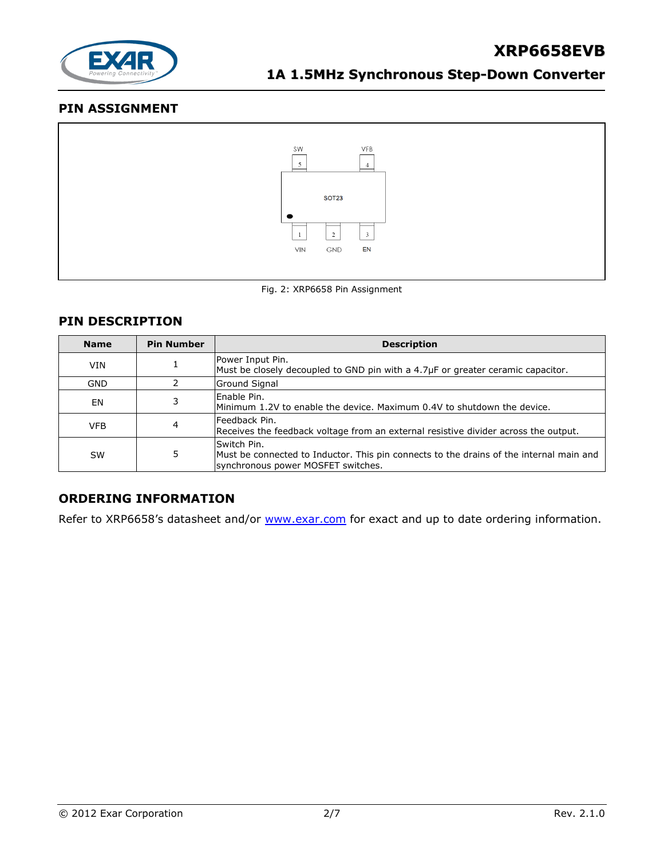

## **PIN ASSIGNMENT**



Fig. 2: XRP6658 Pin Assignment

### **PIN DESCRIPTION**

| <b>Name</b> | <b>Pin Number</b> | <b>Description</b>                                                                                                                           |  |  |
|-------------|-------------------|----------------------------------------------------------------------------------------------------------------------------------------------|--|--|
| <b>VIN</b>  |                   | Power Input Pin.<br>Must be closely decoupled to GND pin with a 4.7µF or greater ceramic capacitor.                                          |  |  |
| <b>GND</b>  |                   | <b>Ground Signal</b>                                                                                                                         |  |  |
| EN          |                   | lEnable Pin.<br>Minimum 1.2V to enable the device. Maximum 0.4V to shutdown the device.                                                      |  |  |
| <b>VFB</b>  | 4                 | Feedback Pin.<br>Receives the feedback voltage from an external resistive divider across the output.                                         |  |  |
| <b>SW</b>   | 5                 | Switch Pin.<br>Must be connected to Inductor. This pin connects to the drains of the internal main and<br>synchronous power MOSFET switches. |  |  |

# **ORDERING INFORMATION**

Refer to XRP6658's datasheet and/or [www.exar.com](http://www.exar.com/) for exact and up to date ordering information.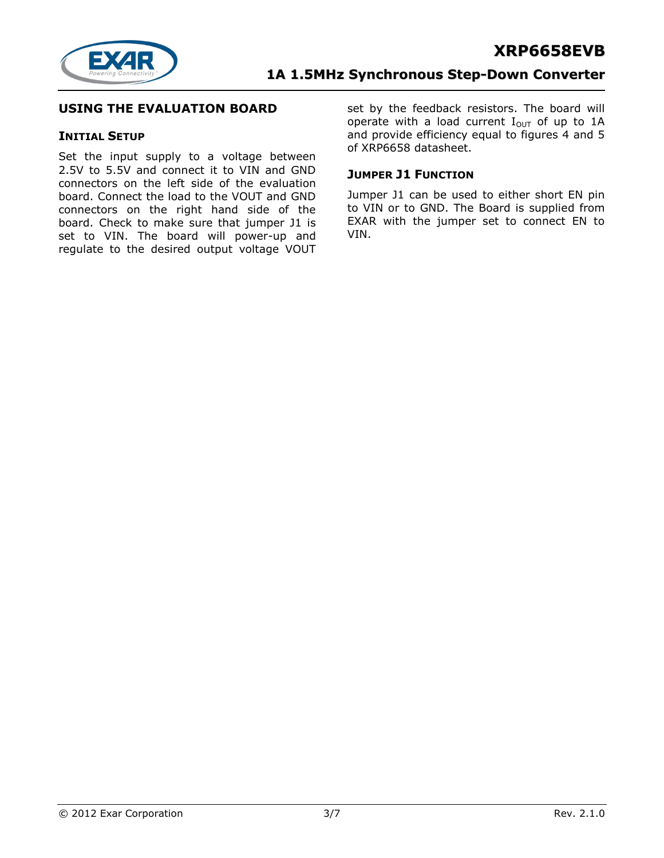

#### **USING THE EVALUATION BOARD**

#### **INITIAL SETUP**

Set the input supply to a voltage between 2.5V to 5.5V and connect it to VIN and GND connectors on the left side of the evaluation board. Connect the load to the VOUT and GND connectors on the right hand side of the board. Check to make sure that jumper J1 is set to VIN. The board will power-up and regulate to the desired output voltage VOUT

set by the feedback resistors. The board will operate with a load current  $I_{OUT}$  of up to 1A and provide efficiency equal to figures 4 and 5 of XRP6658 datasheet.

#### **JUMPER J1 FUNCTION**

Jumper J1 can be used to either short EN pin to VIN or to GND. The Board is supplied from EXAR with the jumper set to connect EN to VIN.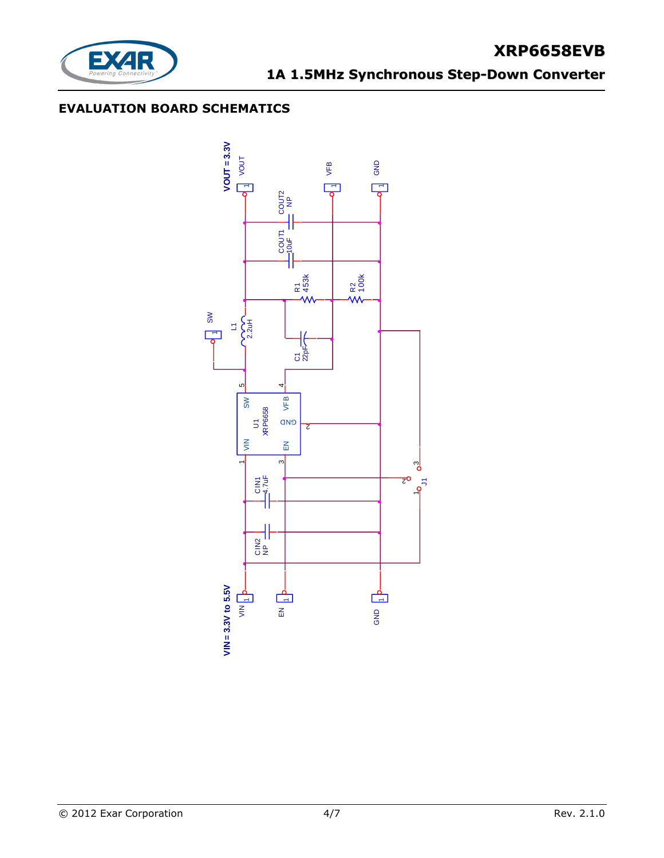

# **EVALUATION BOARD SCHEMATICS**

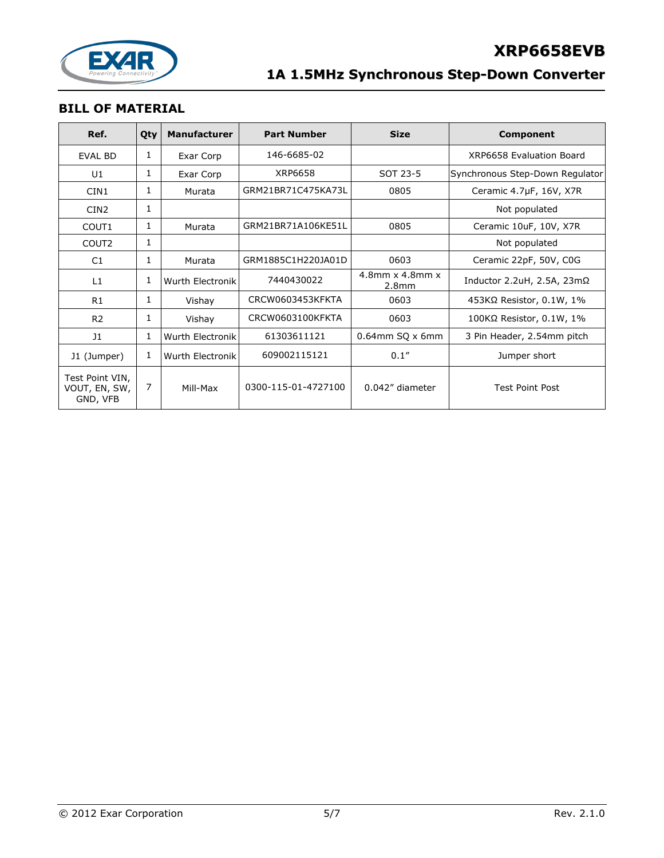

# **BILL OF MATERIAL**

| Ref.                                         | Qty | <b>Manufacturer</b> | <b>Part Number</b>  | <b>Size</b>                                           | Component                         |
|----------------------------------------------|-----|---------------------|---------------------|-------------------------------------------------------|-----------------------------------|
| EVAL BD                                      | 1   | Exar Corp           | 146-6685-02         |                                                       | XRP6658 Evaluation Board          |
| U1                                           | 1   | Exar Corp           | XRP6658             | SOT 23-5                                              | Synchronous Step-Down Regulator   |
| CIN1                                         | 1   | Murata              | GRM21BR71C475KA73L  | 0805                                                  | Ceramic 4.7µF, 16V, X7R           |
| CIN <sub>2</sub>                             | 1   |                     |                     |                                                       | Not populated                     |
| COUT1                                        | 1   | Murata              | GRM21BR71A106KE51L  | 0805                                                  | Ceramic 10uF, 10V, X7R            |
| COUT <sub>2</sub>                            | 1   |                     |                     |                                                       | Not populated                     |
| C1                                           | 1   | Murata              | GRM1885C1H220JA01D  | 0603                                                  | Ceramic 22pF, 50V, C0G            |
| L1                                           | 1   | Wurth Electronik    | 7440430022          | $4.8$ mm $\times$ 4.8mm $\times$<br>2.8 <sub>mm</sub> | Inductor 2.2uH, 2.5A, $23m\Omega$ |
| R1                                           | 1   | Vishay              | CRCW0603453KFKTA    | 0603                                                  | $453K\Omega$ Resistor, 0.1W, 1%   |
| R <sub>2</sub>                               | 1   | Vishay              | CRCW0603100KFKTA    | 0603                                                  | $100$ KΩ Resistor, 0.1W, 1%       |
| J1                                           | 1   | Wurth Electronik    | 61303611121         | $0.64$ mm SQ x 6mm                                    | 3 Pin Header, 2.54mm pitch        |
| J1 (Jumper)                                  | 1   | Wurth Electronik    | 609002115121        | 0.1''                                                 | Jumper short                      |
| Test Point VIN,<br>VOUT, EN, SW,<br>GND, VFB | 7   | Mill-Max            | 0300-115-01-4727100 | 0.042" diameter                                       | <b>Test Point Post</b>            |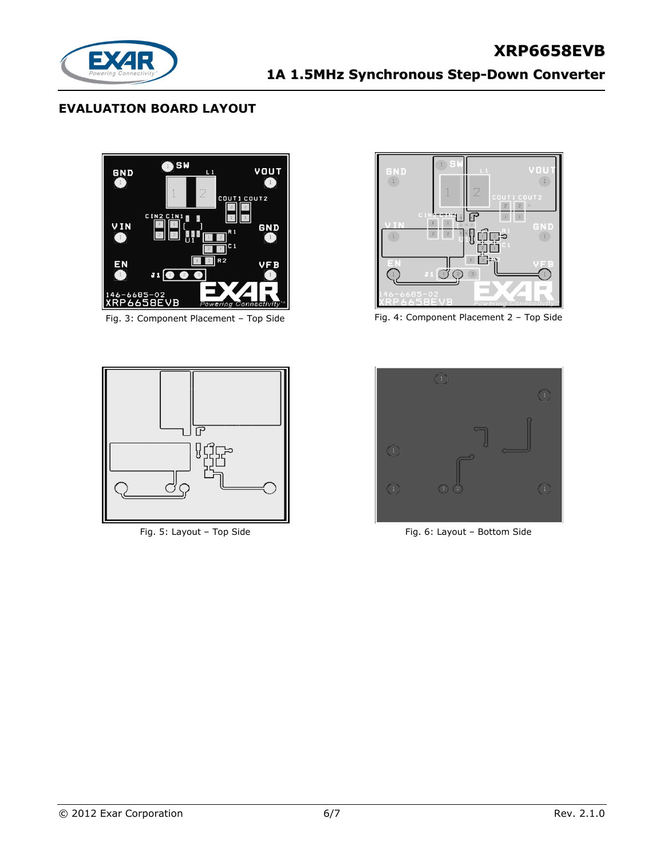

# **EVALUATION BOARD LAYOUT**







Fig. 3: Component Placement – Top Side Fig. 4: Component Placement 2 – Top Side



Fig. 5: Layout – Top Side Fig. 6: Layout – Bottom Side